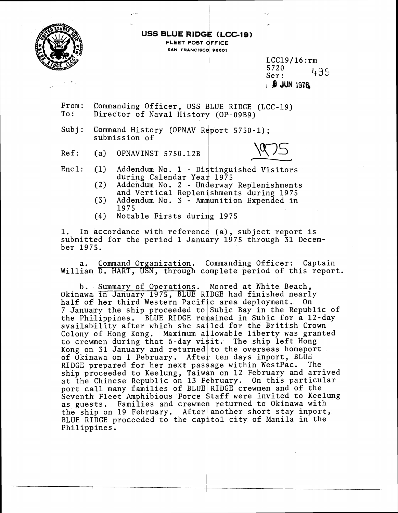

-

# USS BLUE RIDGE (LCC-19)

 $\frac{1}{2}$  -  $\frac{1}{2}$  -  $\frac{1}{2}$  -  $\frac{1}{2}$  -  $\frac{1}{2}$  -  $\frac{1}{2}$  -  $\frac{1}{2}$  -  $\frac{1}{2}$  -  $\frac{1}{2}$  -  $\frac{1}{2}$  -  $\frac{1}{2}$  -  $\frac{1}{2}$  -  $\frac{1}{2}$  -  $\frac{1}{2}$  -  $\frac{1}{2}$  -  $\frac{1}{2}$  -  $\frac{1}{2}$  -  $\frac{1}{2}$  -  $\frac{1$ 

FLEET POST OFFICE SAN FRANCISCO 96601

> LCC19/16:rm 5720<br>Ser: 439 , @ **JUN 1976**

From: Commanding Officer, USS BLUE RIDGE (LCC-19) To: Director of Naval History (OP-09B9)

Subj: Command History (OPNAV Report 5750-1); submission of

Ref: (a) OPNAVINST 5750.12B



Encl: (1) Addendum No. 1 - Distinguished Visitors during Calendar Year 1975

- (2) Addendum No. 2 Underway Replenishments and Vertical Replenishments during 1975
- (3) Addendum No. 1975
- (4) Notable

1. In accordance with reference (a), subject report is i. In accordance with reference (a), subject report is<br>submitted for the period 1 January 1975 through 31 Decem- $\frac{1}{2}$   $\frac{1}{2}$   $\frac{1}{5}$ .

a. Command Organization. Commanding Officer: Captain William D. HART, USN, through complete period of this report.

b. Summary of Operations. Moored at White Beach, Okinawa in January 1975, BLUE RIDGE had finished nearly half of her third Western Pacific area deployment. On 7 January the ship proceeded to Subic Bay in the Republic of the Philippines. BLUE RIDGE remained in Subic for a 12-day availability after which she sailed for the British Crown Colony of Hong Kong. Maximum allowable liberty was granted to crewmen during that 6-day visit. The ship left Hong Kong on 31 January and returned to the overseas homeport of Okinawa on 1 February. After ten days inport, BLUE<br>RIDGE prepared for her next passage within WestPac. The RIDGE prepared for her next passage within WestPac. ship proceeded to Keelung, Taiwan on 12 February and arrived at the Chinese Republic on 13 February. On this particular port call many families of BLUE RIDGE crewmen and of the Seventh Fleet Amphibious Force Staff were invited to Keelung<br>as guests. Families and crewmen returned to Okinawa with the ship on 19 February. After another short stay inport, BLUE RIDGE proceeded to the capitol city of Manila in the Philippines.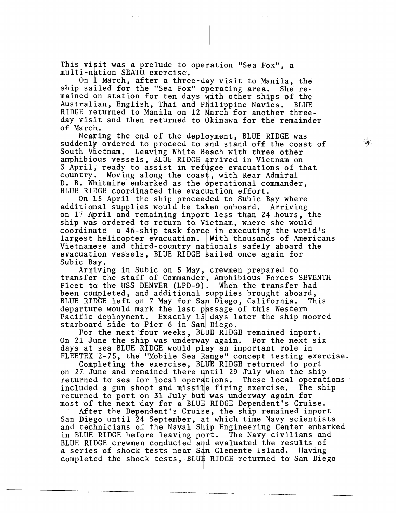This visit was a prelude to operation "Sea Fox", a multi-nation SEAT0 exercise.

On 1 March, after a three-day visit to Manila, the ship sailed for the "Sea Fox" operating area. She remained on station for ten days with other ships of the<br>Australian, English, Thai and Philippine Navies. BLUE Australian, English, Thai and Philippine Navies. RIDGE returned to Manila on 12 March for another threeday visit and then returned to Okinawa for the remainder of March.

Nearing the end of the deployment, BLUE RIDGE was suddenly ordered to proceed to and stand off the coast of South Vietnam. Leaving White Beach with three other Leaving White Beach with three other amphibious vessels, BLUE RIDGE arrived in Vietnam on 3 April, ready to assist in refugee evacuations of that country. Moving along the coast, with Rear Admiral D. B. Whitmire embarked as the operational commander, BLUE RIDGE coordinated the evacuation effort.

On 15 April the ship proceeded to Subic Bay where additional supplies would be taken onboard. Arriving on 17 April and remaining inport less than 24 hours, the ship was ordered to return to Vietnam, where she would coordinate a 46-ship task force in executing the world's largest helicopter evacuation. With thousands of Americans Vietnamese and third-country nationals safely aboard the evacuation vessels, BLUE RIDGE bailed once again for Subic Bay.

Arriving in Subic on 5 May, crewmen prepared to transfer the staff of Commander, Amphibious Forces SEVENTH Fleet to the USS DENVER (LPD-9). When the transfer had been completed, and additional supplies brought aboard, BLUE RIDGE left on 7 May for San Diego, California. This departure would mark the last passage of this Western Pacific deployment. Exactly 15 days later the ship moored starboard side to Pier 6 in San Diego.

For the next four weeks, BLUE RIDGE remained inport. On 21 June the ship was underway again. For the next six days at sea BLUE RIDGE would play an important role in FLEETEX 2-75, the "Mobile Sea Range" concept testing exercise.

Completing the exercise, BLUE RIDGE returned to port on 27 June and remained there until 29 July when the ship returned to sea for local operations. These local operations included a gun shoot and missile firing exercise. The ship returned to port on 31 July but was underway again for most of the next day for a BLUE RIDGE Dependent's Cruise.

After the Dependent's Cruise, the ship remained inport After the Dependent's Cruise, the ship remained inport<br>San Diego until 24 September, at which time Navy scientists and technicians of the Naval Ship Engineering Center embarked in BLUE RIDGE before leaving pdrt. The Navy civilians and BLUE RIDGE crewmen conducted and evaluated the results of a series of shock tests near San Clemente Island. Having completed the shock tests, BLUE RIDGE returned to San Diego

 $\mathcal{S}^{\prime}$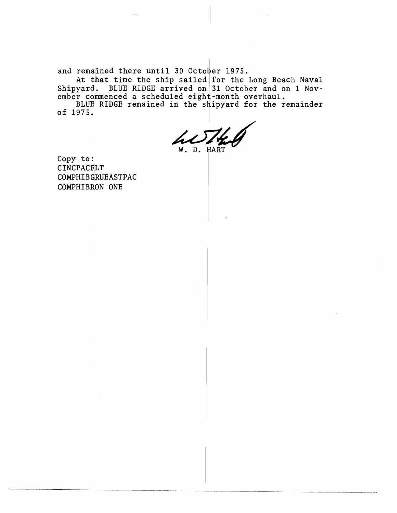and remalined there until 30 October 1975.

At that time the ship sailed for the Long Beach Naval Shipyard. BLUE RIDGE arrived on 31 October and on 1 November commenced a scheduled eight-month overhaul.

BLUE RIDGE remained in the shipyard for the remainder of 1975.

hl W. D. HART

Copy to: CINCPACFLT COMPHIBGRUEASTPAC COMPHIBRON ONE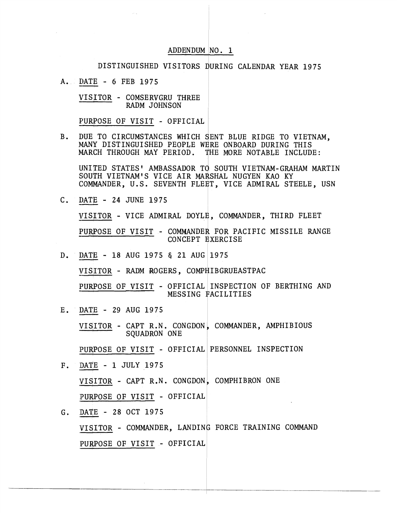### ADDENDUM (NO. 1

#### DISTINGUISHED VISITORS DURING CALENDAR YEAR 1975

 $A.$  DATE - 6 FEB 1975

VISITOR - COMSERVGRU THREE RADM JOHNSON

PURPOSE OF VISIT - OFFICIAL

B. DUE TO CIRCUMSTANCES WHICH SENT BLUE RIDGE TO VIETNAM. MANY DISTINGUISHED PEOPLE WERE ONBOARD DURING THIS &LARCH THROUGH MAY PERIOD. **3** HE MORE NOTABLE INCLUDE:

UNITED STATES' AMBASSADOR TO SOUTH VIETNAM-GRAHAM MARTIN SOUTH VIETNAM'S VICE AIR MARSHAL NUGYEN KAO KY COMMANDER, U.S. SEVENTH FLEET, VICE ADMIRAL STEELE, USN<br>C. <u>DATE</u> - 24 JUNE 1975

VISITOR - VICE ADMIRAL DOYLE, COMMANDER, THIRD FLEET PURPOSE OF VISIT - COMMANDER FOR PACIFIC MISSILE RANGE<br>CONCEPT EXERCISE

D. DATE - 18 AUG 1975 & 21 AUG 1975

VISITOR - RADM ROGERS, COMPHIBGRUEASTPAC

PURPOSE OF VISIT - OFFICIAL INSPECTION OF BERTHING AND<br>MESSING FACILITIES

E. DATE - 29 AUG 1975

VISITOR - CAPT R.N. CONGDON, COMMANDER, AMPHIBIOUS SQUADRON ONE

PURPOSE OF VISIT - OFFICIAL PERSONNEL INSPECTION

- F. DATE 1 JULY 1975 VISITOR - CAPT R.N. CONGDON, COMPHIBRON ONE<br>PURPOSE OF VISIT - OFFICIAL
- G. DATE 28 OCT 1975 VISITOR - COMMANDER, LANDING FORCE TRAINING COMMAND PURPOSE OF VISIT - OFFICIAL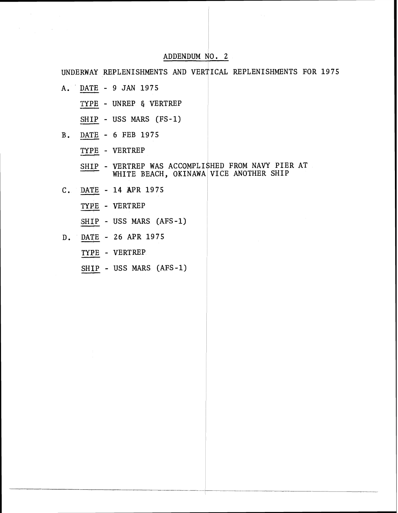## ADDENDUM NO. 2

UNDERWAY REPLENISHMENTS AND VERTICAL REPLENISHMENTS FOR 1975

- A. DATE 9 JAN 1975
	- TYPE UNREP & VERTREP

 $SHIP$  - USS MARS (FS-1)

- B. DATE 6 FEB 1975
	- TYPE VERTREP

SHIP - VERTREP WAS ACCOMPLISHED FROM NAVY PIER AT WHITE BEACH, OKINAWA VICE ANOTHER SHIP

- $C.$  <u>DATE</u> 14 APR 1975 -4 'TYPE - VERTREP
	-
	- SHIP USS MARS (AFS-1)
- D. DATE 26 APR 1975
	- TYgE VERTREP
	- SHIP USS MARS (AFS-1)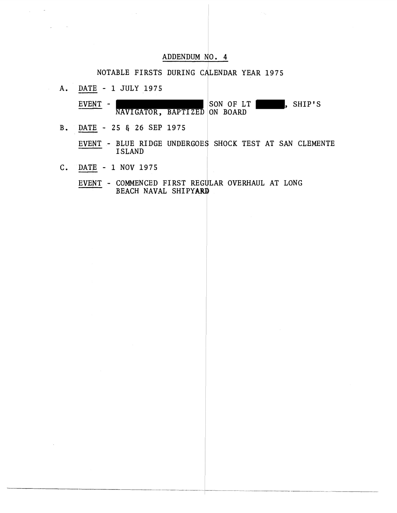## ADDENDUM NO. 4

## NOTABLE FIRSTS DURING CALENDAR YEAR 1975

A. DATE - 1 JULY 1975

 $\sim$   $\sim$ 

 $\mathcal{L}_{\text{max}}$  , and  $\mathcal{L}_{\text{max}}$ 

EVENT - NAVIGATOR, BAPTIZED ON BOARD , SHIP'S

B. IIATP - 25 **8** 26 SEP 1975

EVENT - BLUE RIDGE UNDERGOES SHOCK TEST AT SAN CLEMENTE ISLAND

DATE - 1 NOV 1975  $C_{\bullet}$ 

> EVENT - COMMENCED FIRST REGULAR OVERHAUL AT LONG BEACH NAVAL SHIPYARD